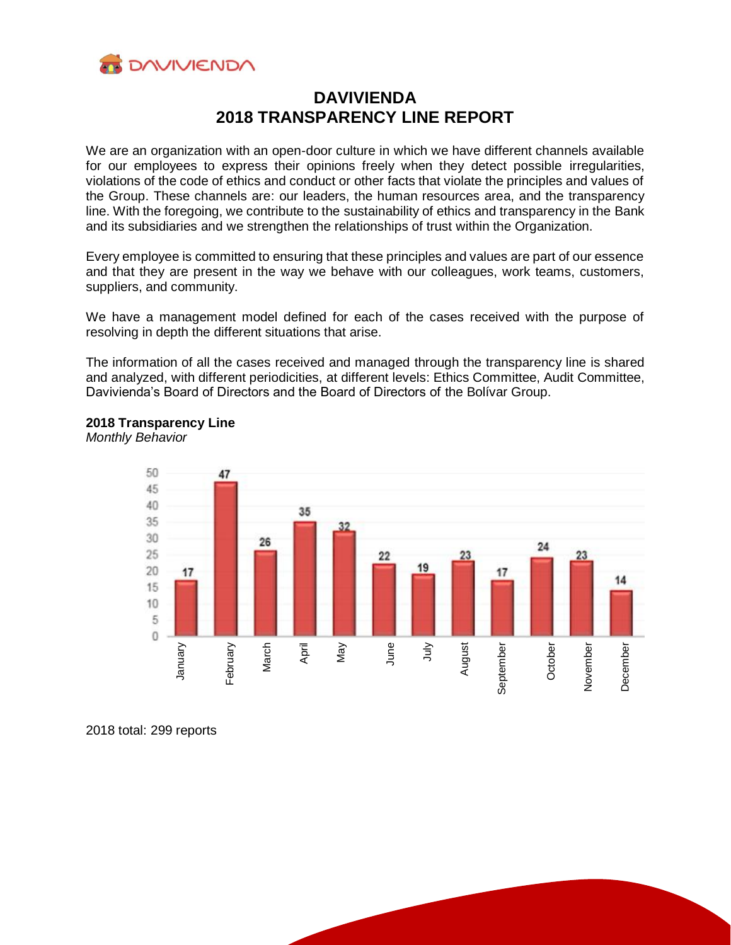

# **DAVIVIENDA 2018 TRANSPARENCY LINE REPORT**

We are an organization with an open-door culture in which we have different channels available for our employees to express their opinions freely when they detect possible irregularities, violations of the code of ethics and conduct or other facts that violate the principles and values of the Group. These channels are: our leaders, the human resources area, and the transparency line. With the foregoing, we contribute to the sustainability of ethics and transparency in the Bank and its subsidiaries and we strengthen the relationships of trust within the Organization.

Every employee is committed to ensuring that these principles and values are part of our essence and that they are present in the way we behave with our colleagues, work teams, customers, suppliers, and community.

We have a management model defined for each of the cases received with the purpose of resolving in depth the different situations that arise.

The information of all the cases received and managed through the transparency line is shared and analyzed, with different periodicities, at different levels: Ethics Committee, Audit Committee, Davivienda's Board of Directors and the Board of Directors of the Bolívar Group.



# **2018 Transparency Line**

*Monthly Behavior*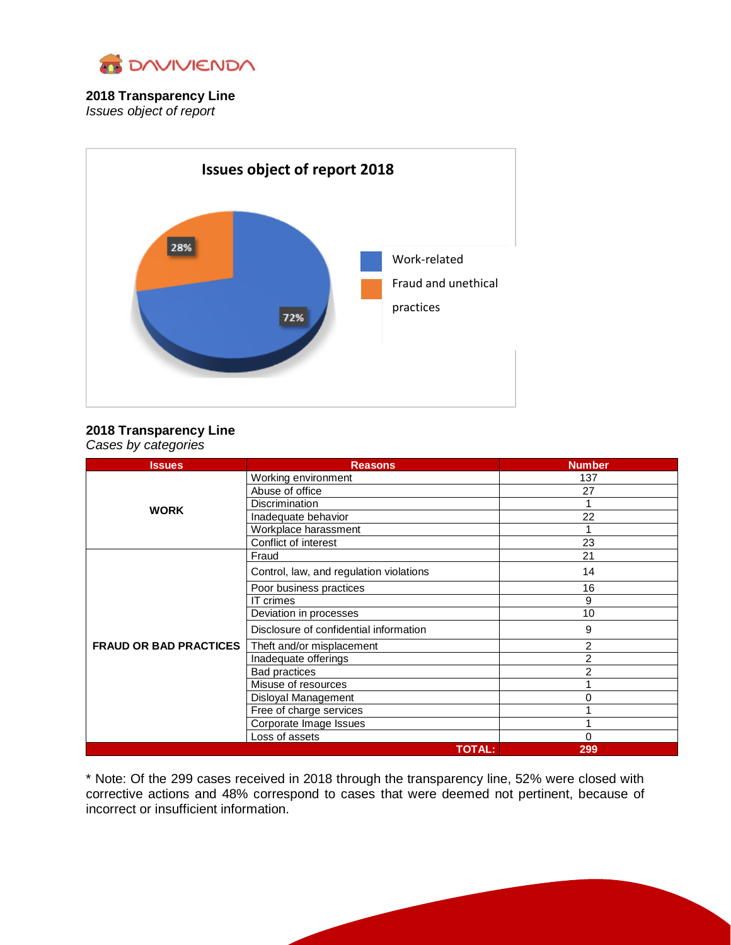

## **2018 Transparency Line** *Issues object of report*



### **2018 Transparency Line** *Cases by categories*

| <b>Issues</b>                 | <b>Reasons</b>                          | <b>Number</b> |
|-------------------------------|-----------------------------------------|---------------|
| <b>WORK</b>                   | Working environment                     | 137           |
|                               | Abuse of office                         | 27            |
|                               | <b>Discrimination</b>                   |               |
|                               | Inadequate behavior                     | 22            |
|                               | Workplace harassment                    |               |
|                               | Conflict of interest                    | 23            |
| <b>FRAUD OR BAD PRACTICES</b> | Fraud                                   | 21            |
|                               | Control, law, and regulation violations | 14            |
|                               | Poor business practices                 | 16            |
|                               | <b>IT</b> crimes                        | 9             |
|                               | Deviation in processes                  | 10            |
|                               | Disclosure of confidential information  | 9             |
|                               | Theft and/or misplacement               | 2             |
|                               | Inadequate offerings                    | 2             |
|                               | <b>Bad practices</b>                    | 2             |
|                               | Misuse of resources                     |               |
|                               | Disloyal Management                     | 0             |
|                               | Free of charge services                 |               |
|                               | Corporate Image Issues                  |               |
|                               | Loss of assets                          | 0             |
| <b>TOTAL:</b>                 |                                         | 299           |

\* Note: Of the 299 cases received in 2018 through the transparency line, 52% were closed with corrective actions and 48% correspond to cases that were deemed not pertinent, because of incorrect or insufficient information.